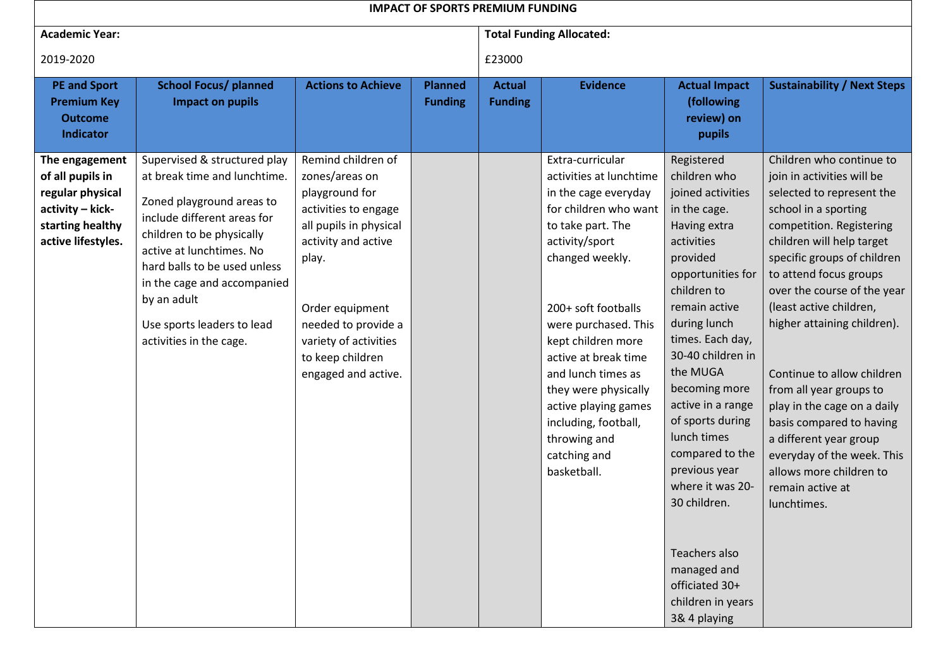|                                                                                                                      |                                                                                                                                                                                                                                                                                                                          |                                                                                                                                                                                                                                                        |                                  | <b>IMPACT OF SPORTS PREMIUM FUNDING</b> |                                                                                                                                                                                                                                                                                                                                                                                                  |                                                                                                                                                                                                                                                                                                                                                                                                                                                                             |                                                                                                                                                                                                                                                                                                                                                                                                                                                                                                                                                                  |  |
|----------------------------------------------------------------------------------------------------------------------|--------------------------------------------------------------------------------------------------------------------------------------------------------------------------------------------------------------------------------------------------------------------------------------------------------------------------|--------------------------------------------------------------------------------------------------------------------------------------------------------------------------------------------------------------------------------------------------------|----------------------------------|-----------------------------------------|--------------------------------------------------------------------------------------------------------------------------------------------------------------------------------------------------------------------------------------------------------------------------------------------------------------------------------------------------------------------------------------------------|-----------------------------------------------------------------------------------------------------------------------------------------------------------------------------------------------------------------------------------------------------------------------------------------------------------------------------------------------------------------------------------------------------------------------------------------------------------------------------|------------------------------------------------------------------------------------------------------------------------------------------------------------------------------------------------------------------------------------------------------------------------------------------------------------------------------------------------------------------------------------------------------------------------------------------------------------------------------------------------------------------------------------------------------------------|--|
| <b>Academic Year:</b>                                                                                                |                                                                                                                                                                                                                                                                                                                          |                                                                                                                                                                                                                                                        |                                  |                                         | <b>Total Funding Allocated:</b>                                                                                                                                                                                                                                                                                                                                                                  |                                                                                                                                                                                                                                                                                                                                                                                                                                                                             |                                                                                                                                                                                                                                                                                                                                                                                                                                                                                                                                                                  |  |
| 2019-2020                                                                                                            |                                                                                                                                                                                                                                                                                                                          |                                                                                                                                                                                                                                                        |                                  | £23000                                  |                                                                                                                                                                                                                                                                                                                                                                                                  |                                                                                                                                                                                                                                                                                                                                                                                                                                                                             |                                                                                                                                                                                                                                                                                                                                                                                                                                                                                                                                                                  |  |
| <b>PE and Sport</b><br><b>Premium Key</b><br><b>Outcome</b><br><b>Indicator</b>                                      | <b>School Focus/ planned</b><br><b>Impact on pupils</b>                                                                                                                                                                                                                                                                  | <b>Actions to Achieve</b>                                                                                                                                                                                                                              | <b>Planned</b><br><b>Funding</b> | <b>Actual</b><br><b>Funding</b>         | <b>Evidence</b>                                                                                                                                                                                                                                                                                                                                                                                  | <b>Actual Impact</b><br>(following<br>review) on<br>pupils                                                                                                                                                                                                                                                                                                                                                                                                                  | <b>Sustainability / Next Steps</b>                                                                                                                                                                                                                                                                                                                                                                                                                                                                                                                               |  |
| The engagement<br>of all pupils in<br>regular physical<br>activity - kick-<br>starting healthy<br>active lifestyles. | Supervised & structured play<br>at break time and lunchtime.<br>Zoned playground areas to<br>include different areas for<br>children to be physically<br>active at lunchtimes. No<br>hard balls to be used unless<br>in the cage and accompanied<br>by an adult<br>Use sports leaders to lead<br>activities in the cage. | Remind children of<br>zones/areas on<br>playground for<br>activities to engage<br>all pupils in physical<br>activity and active<br>play.<br>Order equipment<br>needed to provide a<br>variety of activities<br>to keep children<br>engaged and active. |                                  |                                         | Extra-curricular<br>activities at lunchtime<br>in the cage everyday<br>for children who want<br>to take part. The<br>activity/sport<br>changed weekly.<br>200+ soft footballs<br>were purchased. This<br>kept children more<br>active at break time<br>and lunch times as<br>they were physically<br>active playing games<br>including, football,<br>throwing and<br>catching and<br>basketball. | Registered<br>children who<br>joined activities<br>in the cage.<br>Having extra<br>activities<br>provided<br>opportunities for<br>children to<br>remain active<br>during lunch<br>times. Each day,<br>30-40 children in<br>the MUGA<br>becoming more<br>active in a range<br>of sports during<br>lunch times<br>compared to the<br>previous year<br>where it was 20-<br>30 children.<br>Teachers also<br>managed and<br>officiated 30+<br>children in years<br>3& 4 playing | Children who continue to<br>join in activities will be<br>selected to represent the<br>school in a sporting<br>competition. Registering<br>children will help target<br>specific groups of children<br>to attend focus groups<br>over the course of the year<br>(least active children,<br>higher attaining children).<br>Continue to allow children<br>from all year groups to<br>play in the cage on a daily<br>basis compared to having<br>a different year group<br>everyday of the week. This<br>allows more children to<br>remain active at<br>lunchtimes. |  |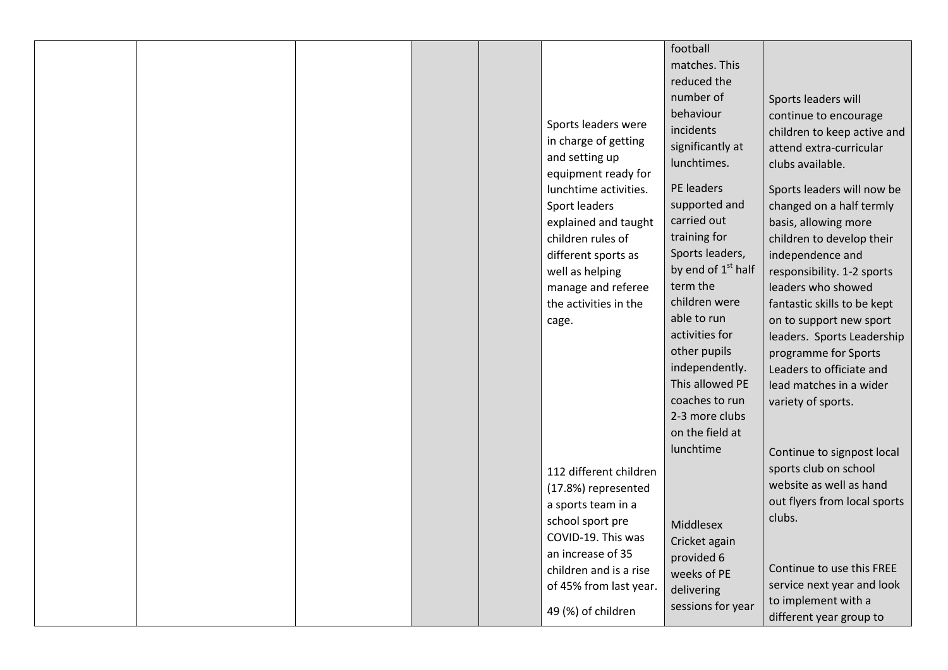|  |                                             | football                                   |                                                   |
|--|---------------------------------------------|--------------------------------------------|---------------------------------------------------|
|  |                                             | matches. This<br>reduced the               |                                                   |
|  |                                             | number of                                  | Sports leaders will                               |
|  |                                             | behaviour                                  | continue to encourage                             |
|  | Sports leaders were                         | incidents                                  | children to keep active and                       |
|  | in charge of getting                        | significantly at                           | attend extra-curricular                           |
|  | and setting up<br>equipment ready for       | lunchtimes.                                | clubs available.                                  |
|  | lunchtime activities.                       | PE leaders                                 | Sports leaders will now be                        |
|  | Sport leaders                               | supported and                              | changed on a half termly                          |
|  | explained and taught                        | carried out                                | basis, allowing more                              |
|  | children rules of                           | training for                               | children to develop their                         |
|  | different sports as                         | Sports leaders,                            | independence and                                  |
|  | well as helping                             | by end of 1 <sup>st</sup> half<br>term the | responsibility. 1-2 sports                        |
|  | manage and referee<br>the activities in the | children were                              | leaders who showed<br>fantastic skills to be kept |
|  | cage.                                       | able to run                                | on to support new sport                           |
|  |                                             | activities for                             | leaders. Sports Leadership                        |
|  |                                             | other pupils                               | programme for Sports                              |
|  |                                             | independently.                             | Leaders to officiate and                          |
|  |                                             | This allowed PE                            | lead matches in a wider                           |
|  |                                             | coaches to run                             | variety of sports.                                |
|  |                                             | 2-3 more clubs<br>on the field at          |                                                   |
|  |                                             | lunchtime                                  | Continue to signpost local                        |
|  | 112 different children                      |                                            | sports club on school                             |
|  | (17.8%) represented                         |                                            | website as well as hand                           |
|  | a sports team in a                          |                                            | out flyers from local sports                      |
|  | school sport pre                            | Middlesex                                  | clubs.                                            |
|  | COVID-19. This was                          | Cricket again                              |                                                   |
|  | an increase of 35                           | provided 6                                 |                                                   |
|  | children and is a rise                      | weeks of PE                                | Continue to use this FREE                         |
|  | of 45% from last year.                      | delivering                                 | service next year and look<br>to implement with a |
|  | 49 (%) of children                          | sessions for year                          | different year group to                           |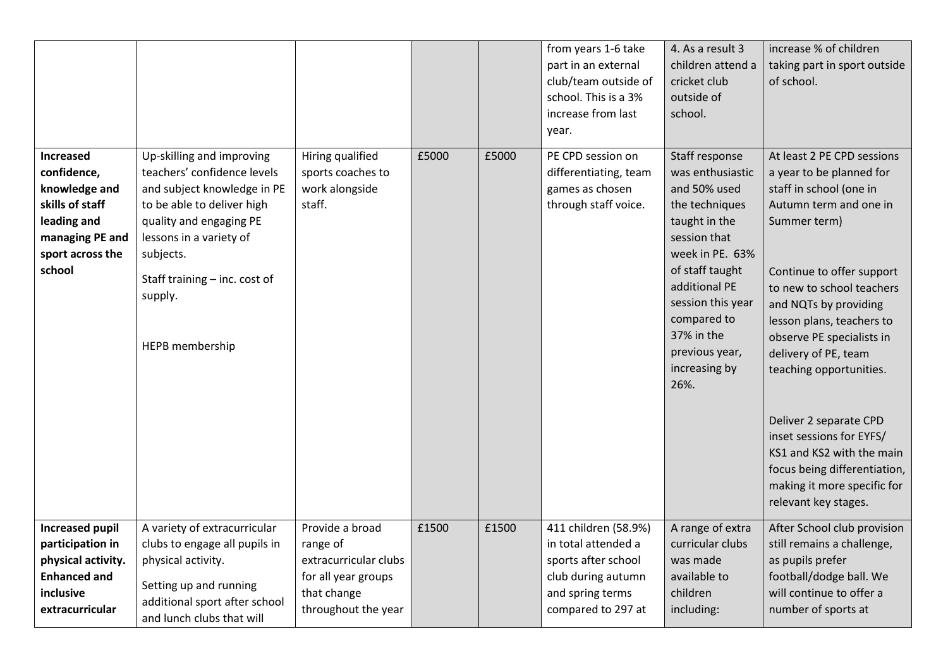|                                                                                                                              |                                                                                                                                                                                                                                                         |                                                                                                                   |       |       | from years 1-6 take<br>part in an external<br>club/team outside of<br>school. This is a 3%<br>increase from last<br>year.          | 4. As a result 3<br>children attend a<br>cricket club<br>outside of<br>school.                                                                                                                                                                            | increase % of children<br>taking part in sport outside<br>of school.                                                                                                                                                                                                                                                                                                                                                                                                                                  |
|------------------------------------------------------------------------------------------------------------------------------|---------------------------------------------------------------------------------------------------------------------------------------------------------------------------------------------------------------------------------------------------------|-------------------------------------------------------------------------------------------------------------------|-------|-------|------------------------------------------------------------------------------------------------------------------------------------|-----------------------------------------------------------------------------------------------------------------------------------------------------------------------------------------------------------------------------------------------------------|-------------------------------------------------------------------------------------------------------------------------------------------------------------------------------------------------------------------------------------------------------------------------------------------------------------------------------------------------------------------------------------------------------------------------------------------------------------------------------------------------------|
| Increased<br>confidence,<br>knowledge and<br>skills of staff<br>leading and<br>managing PE and<br>sport across the<br>school | Up-skilling and improving<br>teachers' confidence levels<br>and subject knowledge in PE<br>to be able to deliver high<br>quality and engaging PE<br>lessons in a variety of<br>subjects.<br>Staff training - inc. cost of<br>supply.<br>HEPB membership | Hiring qualified<br>sports coaches to<br>work alongside<br>staff.                                                 | £5000 | £5000 | PE CPD session on<br>differentiating, team<br>games as chosen<br>through staff voice.                                              | Staff response<br>was enthusiastic<br>and 50% used<br>the techniques<br>taught in the<br>session that<br>week in PE. 63%<br>of staff taught<br>additional PE<br>session this year<br>compared to<br>37% in the<br>previous year,<br>increasing by<br>26%. | At least 2 PE CPD sessions<br>a year to be planned for<br>staff in school (one in<br>Autumn term and one in<br>Summer term)<br>Continue to offer support<br>to new to school teachers<br>and NQTs by providing<br>lesson plans, teachers to<br>observe PE specialists in<br>delivery of PE, team<br>teaching opportunities.<br>Deliver 2 separate CPD<br>inset sessions for EYFS/<br>KS1 and KS2 with the main<br>focus being differentiation,<br>making it more specific for<br>relevant key stages. |
| <b>Increased pupil</b><br>participation in<br>physical activity.<br><b>Enhanced and</b><br>inclusive<br>extracurricular      | A variety of extracurricular<br>clubs to engage all pupils in<br>physical activity.<br>Setting up and running<br>additional sport after school<br>and lunch clubs that will                                                                             | Provide a broad<br>range of<br>extracurricular clubs<br>for all year groups<br>that change<br>throughout the year | £1500 | £1500 | 411 children (58.9%)<br>in total attended a<br>sports after school<br>club during autumn<br>and spring terms<br>compared to 297 at | A range of extra<br>curricular clubs<br>was made<br>available to<br>children<br>including:                                                                                                                                                                | After School club provision<br>still remains a challenge,<br>as pupils prefer<br>football/dodge ball. We<br>will continue to offer a<br>number of sports at                                                                                                                                                                                                                                                                                                                                           |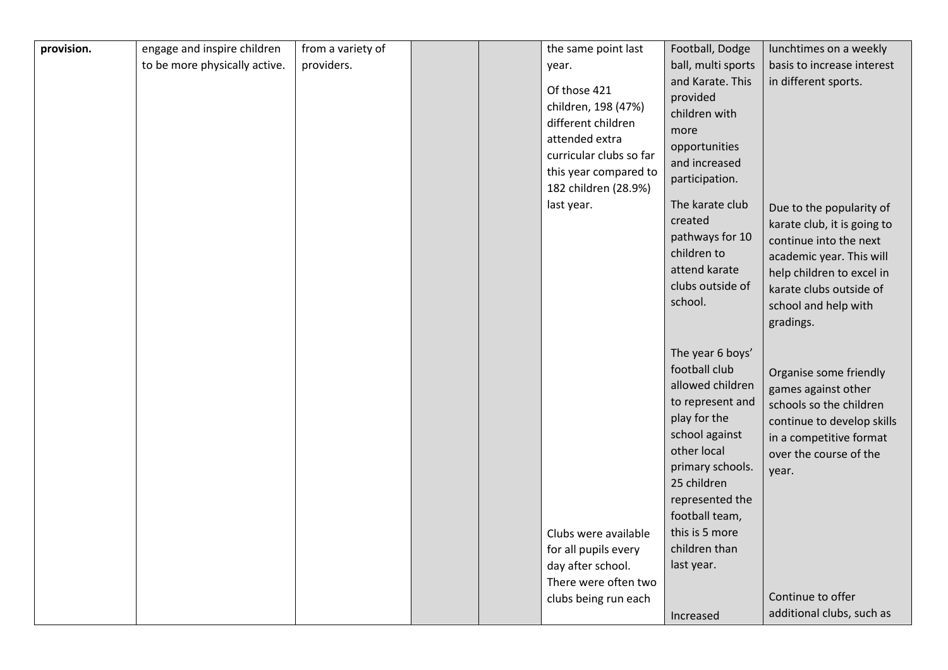| provision. | engage and inspire children   | from a variety of |  | the same point last     | Football, Dodge    | lunchtimes on a weekly      |
|------------|-------------------------------|-------------------|--|-------------------------|--------------------|-----------------------------|
|            | to be more physically active. | providers.        |  | year.                   | ball, multi sports | basis to increase interest  |
|            |                               |                   |  |                         | and Karate. This   | in different sports.        |
|            |                               |                   |  | Of those 421            | provided           |                             |
|            |                               |                   |  | children, 198 (47%)     | children with      |                             |
|            |                               |                   |  | different children      | more               |                             |
|            |                               |                   |  | attended extra          | opportunities      |                             |
|            |                               |                   |  | curricular clubs so far | and increased      |                             |
|            |                               |                   |  | this year compared to   | participation.     |                             |
|            |                               |                   |  | 182 children (28.9%)    |                    |                             |
|            |                               |                   |  | last year.              | The karate club    | Due to the popularity of    |
|            |                               |                   |  |                         | created            | karate club, it is going to |
|            |                               |                   |  |                         | pathways for 10    | continue into the next      |
|            |                               |                   |  |                         | children to        | academic year. This will    |
|            |                               |                   |  |                         | attend karate      | help children to excel in   |
|            |                               |                   |  |                         | clubs outside of   | karate clubs outside of     |
|            |                               |                   |  |                         | school.            | school and help with        |
|            |                               |                   |  |                         |                    | gradings.                   |
|            |                               |                   |  |                         |                    |                             |
|            |                               |                   |  |                         | The year 6 boys'   |                             |
|            |                               |                   |  |                         | football club      | Organise some friendly      |
|            |                               |                   |  |                         | allowed children   | games against other         |
|            |                               |                   |  |                         | to represent and   | schools so the children     |
|            |                               |                   |  |                         | play for the       | continue to develop skills  |
|            |                               |                   |  |                         | school against     | in a competitive format     |
|            |                               |                   |  |                         | other local        | over the course of the      |
|            |                               |                   |  |                         | primary schools.   | year.                       |
|            |                               |                   |  |                         | 25 children        |                             |
|            |                               |                   |  |                         | represented the    |                             |
|            |                               |                   |  |                         | football team,     |                             |
|            |                               |                   |  | Clubs were available    | this is 5 more     |                             |
|            |                               |                   |  | for all pupils every    | children than      |                             |
|            |                               |                   |  | day after school.       | last year.         |                             |
|            |                               |                   |  | There were often two    |                    |                             |
|            |                               |                   |  | clubs being run each    |                    | Continue to offer           |
|            |                               |                   |  |                         | Increased          | additional clubs, such as   |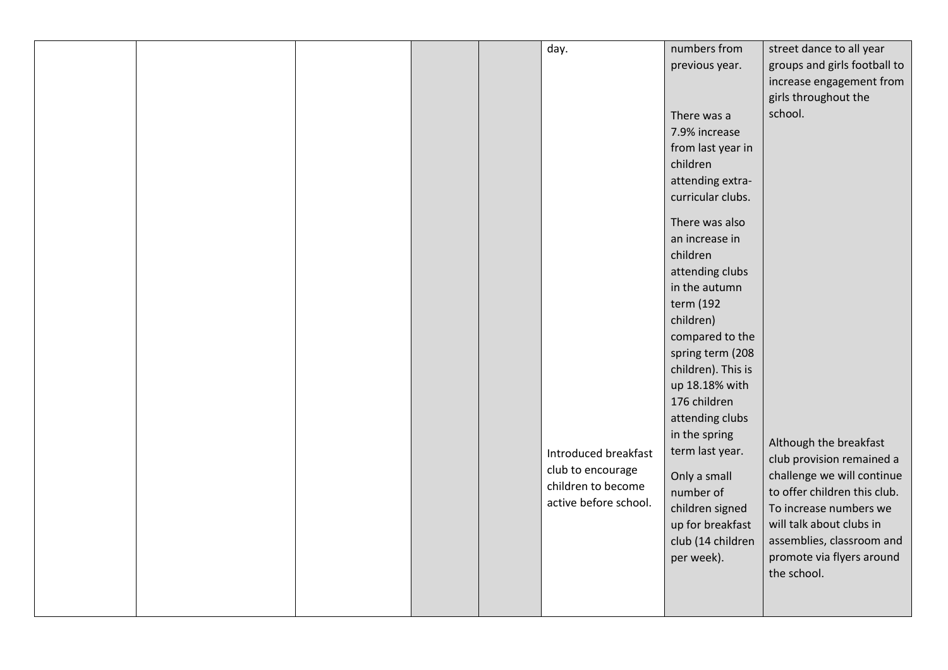|  |  | day.                  | numbers from       | street dance to all year     |
|--|--|-----------------------|--------------------|------------------------------|
|  |  |                       | previous year.     | groups and girls football to |
|  |  |                       |                    | increase engagement from     |
|  |  |                       |                    | girls throughout the         |
|  |  |                       | There was a        | school.                      |
|  |  |                       | 7.9% increase      |                              |
|  |  |                       | from last year in  |                              |
|  |  |                       | children           |                              |
|  |  |                       | attending extra-   |                              |
|  |  |                       | curricular clubs.  |                              |
|  |  |                       |                    |                              |
|  |  |                       | There was also     |                              |
|  |  |                       | an increase in     |                              |
|  |  |                       | children           |                              |
|  |  |                       | attending clubs    |                              |
|  |  |                       | in the autumn      |                              |
|  |  |                       | term (192          |                              |
|  |  |                       | children)          |                              |
|  |  |                       | compared to the    |                              |
|  |  |                       | spring term (208   |                              |
|  |  |                       | children). This is |                              |
|  |  |                       | up 18.18% with     |                              |
|  |  |                       | 176 children       |                              |
|  |  |                       | attending clubs    |                              |
|  |  |                       | in the spring      |                              |
|  |  | Introduced breakfast  | term last year.    | Although the breakfast       |
|  |  | club to encourage     |                    | club provision remained a    |
|  |  | children to become    | Only a small       | challenge we will continue   |
|  |  | active before school. | number of          | to offer children this club. |
|  |  |                       | children signed    | To increase numbers we       |
|  |  |                       | up for breakfast   | will talk about clubs in     |
|  |  |                       | club (14 children  | assemblies, classroom and    |
|  |  |                       | per week).         | promote via flyers around    |
|  |  |                       |                    | the school.                  |
|  |  |                       |                    |                              |
|  |  |                       |                    |                              |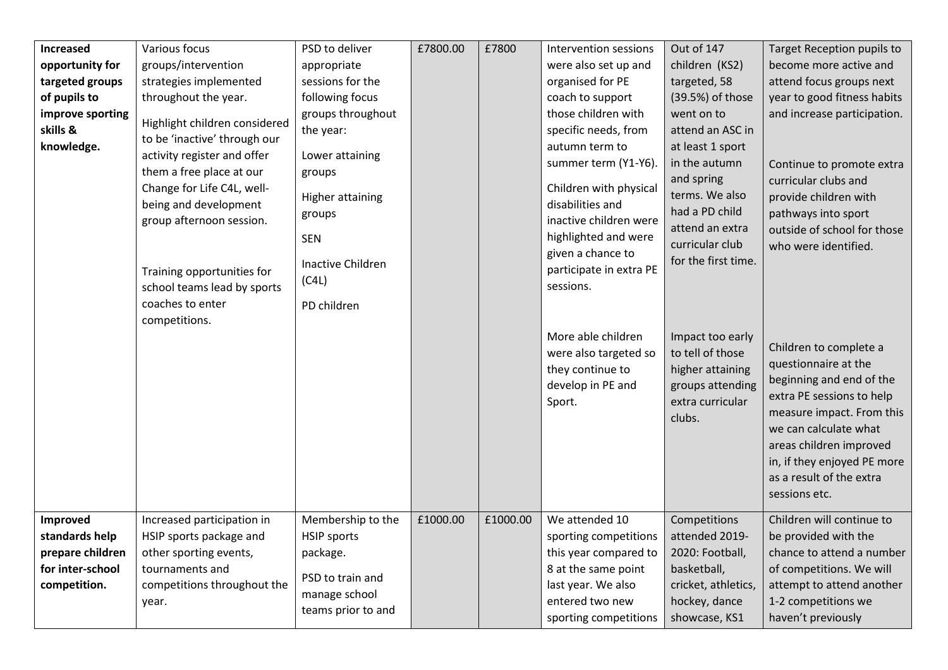| Increased                                                                          | Various focus                                                                                                                                                                                                                                                                                | PSD to deliver                                                                                                                               | £7800.00 | £7800    | Intervention sessions                                                                                                                                                                                                                              | Out of 147                                                                                                                                                                         | Target Reception pupils to                                                                                                                                                                                                                                           |
|------------------------------------------------------------------------------------|----------------------------------------------------------------------------------------------------------------------------------------------------------------------------------------------------------------------------------------------------------------------------------------------|----------------------------------------------------------------------------------------------------------------------------------------------|----------|----------|----------------------------------------------------------------------------------------------------------------------------------------------------------------------------------------------------------------------------------------------------|------------------------------------------------------------------------------------------------------------------------------------------------------------------------------------|----------------------------------------------------------------------------------------------------------------------------------------------------------------------------------------------------------------------------------------------------------------------|
| opportunity for                                                                    | groups/intervention                                                                                                                                                                                                                                                                          | appropriate                                                                                                                                  |          |          | were also set up and                                                                                                                                                                                                                               | children (KS2)                                                                                                                                                                     | become more active and                                                                                                                                                                                                                                               |
| targeted groups                                                                    | strategies implemented                                                                                                                                                                                                                                                                       | sessions for the                                                                                                                             |          |          | organised for PE                                                                                                                                                                                                                                   | targeted, 58                                                                                                                                                                       | attend focus groups next                                                                                                                                                                                                                                             |
| of pupils to                                                                       | throughout the year.                                                                                                                                                                                                                                                                         | following focus                                                                                                                              |          |          | coach to support                                                                                                                                                                                                                                   | (39.5%) of those                                                                                                                                                                   | year to good fitness habits                                                                                                                                                                                                                                          |
| improve sporting<br>skills &<br>knowledge.                                         | Highlight children considered<br>to be 'inactive' through our<br>activity register and offer<br>them a free place at our<br>Change for Life C4L, well-<br>being and development<br>group afternoon session.<br>Training opportunities for<br>school teams lead by sports<br>coaches to enter | groups throughout<br>the year:<br>Lower attaining<br>groups<br>Higher attaining<br>groups<br><b>SEN</b><br><b>Inactive Children</b><br>(C4L) |          |          | those children with<br>specific needs, from<br>autumn term to<br>summer term (Y1-Y6).<br>Children with physical<br>disabilities and<br>inactive children were<br>highlighted and were<br>given a chance to<br>participate in extra PE<br>sessions. | went on to<br>attend an ASC in<br>at least 1 sport<br>in the autumn<br>and spring<br>terms. We also<br>had a PD child<br>attend an extra<br>curricular club<br>for the first time. | and increase participation.<br>Continue to promote extra<br>curricular clubs and<br>provide children with<br>pathways into sport<br>outside of school for those<br>who were identified.                                                                              |
|                                                                                    | competitions.                                                                                                                                                                                                                                                                                | PD children                                                                                                                                  |          |          | More able children<br>were also targeted so<br>they continue to<br>develop in PE and<br>Sport.                                                                                                                                                     | Impact too early<br>to tell of those<br>higher attaining<br>groups attending<br>extra curricular<br>clubs.                                                                         | Children to complete a<br>questionnaire at the<br>beginning and end of the<br>extra PE sessions to help<br>measure impact. From this<br>we can calculate what<br>areas children improved<br>in, if they enjoyed PE more<br>as a result of the extra<br>sessions etc. |
| Improved<br>standards help<br>prepare children<br>for inter-school<br>competition. | Increased participation in<br>HSIP sports package and<br>other sporting events,<br>tournaments and<br>competitions throughout the<br>year.                                                                                                                                                   | Membership to the<br><b>HSIP</b> sports<br>package.<br>PSD to train and<br>manage school<br>teams prior to and                               | £1000.00 | £1000.00 | We attended 10<br>sporting competitions<br>this year compared to<br>8 at the same point<br>last year. We also<br>entered two new<br>sporting competitions                                                                                          | Competitions<br>attended 2019-<br>2020: Football,<br>basketball,<br>cricket, athletics,<br>hockey, dance<br>showcase, KS1                                                          | Children will continue to<br>be provided with the<br>chance to attend a number<br>of competitions. We will<br>attempt to attend another<br>1-2 competitions we<br>haven't previously                                                                                 |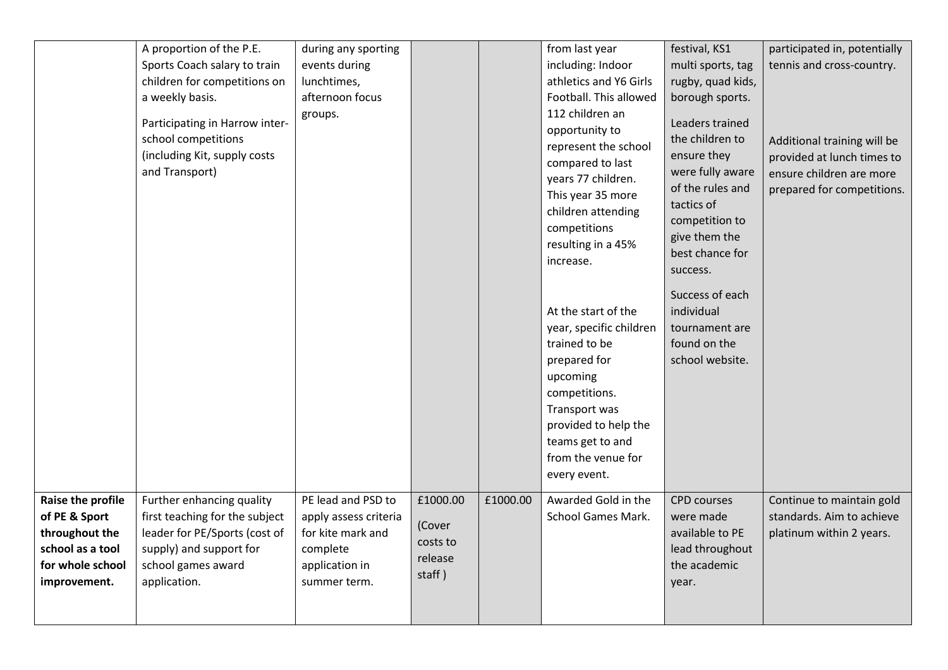|                                                                                                              | A proportion of the P.E.<br>Sports Coach salary to train<br>children for competitions on<br>a weekly basis.<br>Participating in Harrow inter-<br>school competitions<br>(including Kit, supply costs<br>and Transport) | during any sporting<br>events during<br>lunchtimes,<br>afternoon focus<br>groups.                              |                                                     |          | from last year<br>including: Indoor<br>athletics and Y6 Girls<br>Football. This allowed<br>112 children an<br>opportunity to<br>represent the school<br>compared to last<br>years 77 children.<br>This year 35 more<br>children attending<br>competitions<br>resulting in a 45%<br>increase. | festival, KS1<br>multi sports, tag<br>rugby, quad kids,<br>borough sports.<br>Leaders trained<br>the children to<br>ensure they<br>were fully aware<br>of the rules and<br>tactics of<br>competition to<br>give them the<br>best chance for<br>success. | participated in, potentially<br>tennis and cross-country.<br>Additional training will be<br>provided at lunch times to<br>ensure children are more<br>prepared for competitions. |
|--------------------------------------------------------------------------------------------------------------|------------------------------------------------------------------------------------------------------------------------------------------------------------------------------------------------------------------------|----------------------------------------------------------------------------------------------------------------|-----------------------------------------------------|----------|----------------------------------------------------------------------------------------------------------------------------------------------------------------------------------------------------------------------------------------------------------------------------------------------|---------------------------------------------------------------------------------------------------------------------------------------------------------------------------------------------------------------------------------------------------------|----------------------------------------------------------------------------------------------------------------------------------------------------------------------------------|
|                                                                                                              |                                                                                                                                                                                                                        |                                                                                                                |                                                     |          | At the start of the<br>year, specific children<br>trained to be<br>prepared for<br>upcoming<br>competitions.<br>Transport was<br>provided to help the<br>teams get to and<br>from the venue for<br>every event.                                                                              | Success of each<br>individual<br>tournament are<br>found on the<br>school website.                                                                                                                                                                      |                                                                                                                                                                                  |
| Raise the profile<br>of PE & Sport<br>throughout the<br>school as a tool<br>for whole school<br>improvement. | Further enhancing quality<br>first teaching for the subject<br>leader for PE/Sports (cost of<br>supply) and support for<br>school games award<br>application.                                                          | PE lead and PSD to<br>apply assess criteria<br>for kite mark and<br>complete<br>application in<br>summer term. | £1000.00<br>(Cover<br>costs to<br>release<br>staff) | £1000.00 | Awarded Gold in the<br>School Games Mark.                                                                                                                                                                                                                                                    | <b>CPD</b> courses<br>were made<br>available to PE<br>lead throughout<br>the academic<br>year.                                                                                                                                                          | Continue to maintain gold<br>standards. Aim to achieve<br>platinum within 2 years.                                                                                               |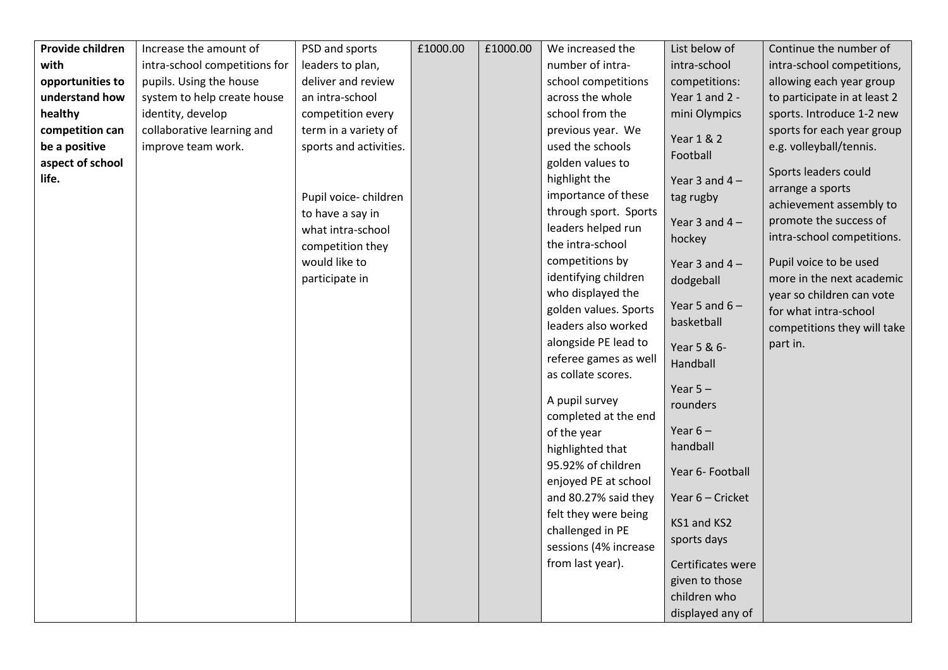| Provide children | Increase the amount of        | PSD and sports         | £1000.00 | £1000.00 | We increased the      | List below of     | Continue the number of       |
|------------------|-------------------------------|------------------------|----------|----------|-----------------------|-------------------|------------------------------|
| with             | intra-school competitions for | leaders to plan,       |          |          | number of intra-      | intra-school      | intra-school competitions,   |
| opportunities to | pupils. Using the house       | deliver and review     |          |          | school competitions   | competitions:     | allowing each year group     |
| understand how   | system to help create house   | an intra-school        |          |          | across the whole      | Year 1 and 2 -    | to participate in at least 2 |
| healthy          | identity, develop             | competition every      |          |          | school from the       | mini Olympics     | sports. Introduce 1-2 new    |
| competition can  | collaborative learning and    | term in a variety of   |          |          | previous year. We     | Year 1 & 2        | sports for each year group   |
| be a positive    | improve team work.            | sports and activities. |          |          | used the schools      | Football          | e.g. volleyball/tennis.      |
| aspect of school |                               |                        |          |          | golden values to      |                   | Sports leaders could         |
| life.            |                               |                        |          |          | highlight the         | Year 3 and $4-$   | arrange a sports             |
|                  |                               | Pupil voice-children   |          |          | importance of these   | tag rugby         | achievement assembly to      |
|                  |                               | to have a say in       |          |          | through sport. Sports | Year 3 and $4-$   | promote the success of       |
|                  |                               | what intra-school      |          |          | leaders helped run    |                   | intra-school competitions.   |
|                  |                               | competition they       |          |          | the intra-school      | hockey            |                              |
|                  |                               | would like to          |          |          | competitions by       | Year 3 and $4-$   | Pupil voice to be used       |
|                  |                               | participate in         |          |          | identifying children  | dodgeball         | more in the next academic    |
|                  |                               |                        |          |          | who displayed the     |                   | year so children can vote    |
|                  |                               |                        |          |          | golden values. Sports | Year 5 and $6-$   | for what intra-school        |
|                  |                               |                        |          |          | leaders also worked   | basketball        | competitions they will take  |
|                  |                               |                        |          |          | alongside PE lead to  | Year 5 & 6-       | part in.                     |
|                  |                               |                        |          |          | referee games as well | Handball          |                              |
|                  |                               |                        |          |          | as collate scores.    |                   |                              |
|                  |                               |                        |          |          | A pupil survey        | Year $5 -$        |                              |
|                  |                               |                        |          |          | completed at the end  | rounders          |                              |
|                  |                               |                        |          |          | of the year           | Year $6-$         |                              |
|                  |                               |                        |          |          | highlighted that      | handball          |                              |
|                  |                               |                        |          |          | 95.92% of children    |                   |                              |
|                  |                               |                        |          |          | enjoyed PE at school  | Year 6- Football  |                              |
|                  |                               |                        |          |          | and 80.27% said they  | Year 6 - Cricket  |                              |
|                  |                               |                        |          |          | felt they were being  |                   |                              |
|                  |                               |                        |          |          | challenged in PE      | KS1 and KS2       |                              |
|                  |                               |                        |          |          | sessions (4% increase | sports days       |                              |
|                  |                               |                        |          |          | from last year).      | Certificates were |                              |
|                  |                               |                        |          |          |                       | given to those    |                              |
|                  |                               |                        |          |          |                       | children who      |                              |
|                  |                               |                        |          |          |                       | displayed any of  |                              |
|                  |                               |                        |          |          |                       |                   |                              |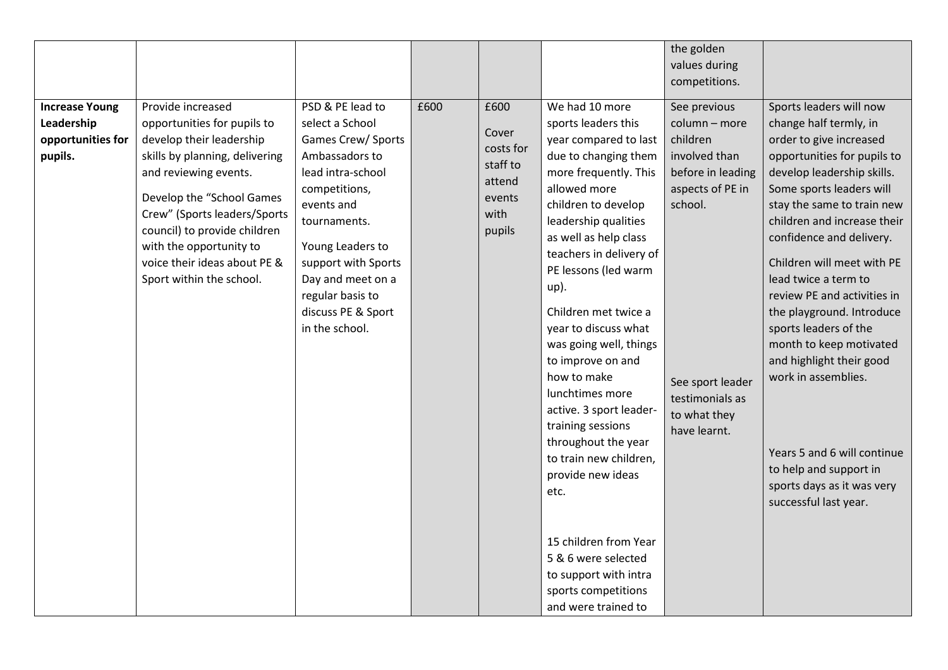|                                                                     |                                                                                                                                                                                                                                                                                                                             |                                                                                                                                                                                                                                                                             |      |                                                                              |                                                                                                                                                                                                                                                                                                                                                                                                                                                                                                                                                                                                                                                          | the golden<br>values during<br>competitions.                                                                                                                                          |                                                                                                                                                                                                                                                                                                                                                                                                                                                                                                                                                                                                         |
|---------------------------------------------------------------------|-----------------------------------------------------------------------------------------------------------------------------------------------------------------------------------------------------------------------------------------------------------------------------------------------------------------------------|-----------------------------------------------------------------------------------------------------------------------------------------------------------------------------------------------------------------------------------------------------------------------------|------|------------------------------------------------------------------------------|----------------------------------------------------------------------------------------------------------------------------------------------------------------------------------------------------------------------------------------------------------------------------------------------------------------------------------------------------------------------------------------------------------------------------------------------------------------------------------------------------------------------------------------------------------------------------------------------------------------------------------------------------------|---------------------------------------------------------------------------------------------------------------------------------------------------------------------------------------|---------------------------------------------------------------------------------------------------------------------------------------------------------------------------------------------------------------------------------------------------------------------------------------------------------------------------------------------------------------------------------------------------------------------------------------------------------------------------------------------------------------------------------------------------------------------------------------------------------|
| <b>Increase Young</b><br>Leadership<br>opportunities for<br>pupils. | Provide increased<br>opportunities for pupils to<br>develop their leadership<br>skills by planning, delivering<br>and reviewing events.<br>Develop the "School Games<br>Crew" (Sports leaders/Sports<br>council) to provide children<br>with the opportunity to<br>voice their ideas about PE &<br>Sport within the school. | PSD & PE lead to<br>select a School<br>Games Crew/ Sports<br>Ambassadors to<br>lead intra-school<br>competitions,<br>events and<br>tournaments.<br>Young Leaders to<br>support with Sports<br>Day and meet on a<br>regular basis to<br>discuss PE & Sport<br>in the school. | £600 | £600<br>Cover<br>costs for<br>staff to<br>attend<br>events<br>with<br>pupils | We had 10 more<br>sports leaders this<br>year compared to last<br>due to changing them<br>more frequently. This<br>allowed more<br>children to develop<br>leadership qualities<br>as well as help class<br>teachers in delivery of<br>PE lessons (led warm<br>up).<br>Children met twice a<br>year to discuss what<br>was going well, things<br>to improve on and<br>how to make<br>lunchtimes more<br>active. 3 sport leader-<br>training sessions<br>throughout the year<br>to train new children,<br>provide new ideas<br>etc.<br>15 children from Year<br>5 & 6 were selected<br>to support with intra<br>sports competitions<br>and were trained to | See previous<br>column - more<br>children<br>involved than<br>before in leading<br>aspects of PE in<br>school.<br>See sport leader<br>testimonials as<br>to what they<br>have learnt. | Sports leaders will now<br>change half termly, in<br>order to give increased<br>opportunities for pupils to<br>develop leadership skills.<br>Some sports leaders will<br>stay the same to train new<br>children and increase their<br>confidence and delivery.<br>Children will meet with PE<br>lead twice a term to<br>review PE and activities in<br>the playground. Introduce<br>sports leaders of the<br>month to keep motivated<br>and highlight their good<br>work in assemblies.<br>Years 5 and 6 will continue<br>to help and support in<br>sports days as it was very<br>successful last year. |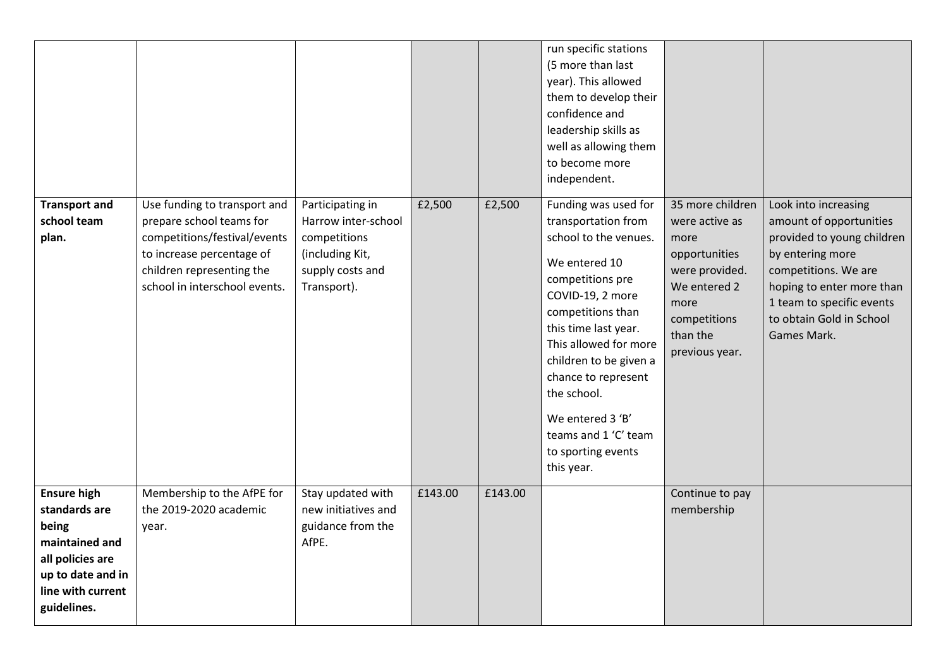|                                                                                                                                             |                                                                                                                                                                                     |                                                                                                               |         |         | run specific stations<br>(5 more than last<br>year). This allowed<br>them to develop their<br>confidence and<br>leadership skills as<br>well as allowing them<br>to become more<br>independent.                                                                                                                                                     |                                                                                                                                                     |                                                                                                                                                                                                                                |
|---------------------------------------------------------------------------------------------------------------------------------------------|-------------------------------------------------------------------------------------------------------------------------------------------------------------------------------------|---------------------------------------------------------------------------------------------------------------|---------|---------|-----------------------------------------------------------------------------------------------------------------------------------------------------------------------------------------------------------------------------------------------------------------------------------------------------------------------------------------------------|-----------------------------------------------------------------------------------------------------------------------------------------------------|--------------------------------------------------------------------------------------------------------------------------------------------------------------------------------------------------------------------------------|
| <b>Transport and</b><br>school team<br>plan.                                                                                                | Use funding to transport and<br>prepare school teams for<br>competitions/festival/events<br>to increase percentage of<br>children representing the<br>school in interschool events. | Participating in<br>Harrow inter-school<br>competitions<br>(including Kit,<br>supply costs and<br>Transport). | £2,500  | £2,500  | Funding was used for<br>transportation from<br>school to the venues.<br>We entered 10<br>competitions pre<br>COVID-19, 2 more<br>competitions than<br>this time last year.<br>This allowed for more<br>children to be given a<br>chance to represent<br>the school.<br>We entered 3 'B'<br>teams and 1 'C' team<br>to sporting events<br>this year. | 35 more children<br>were active as<br>more<br>opportunities<br>were provided.<br>We entered 2<br>more<br>competitions<br>than the<br>previous year. | Look into increasing<br>amount of opportunities<br>provided to young children<br>by entering more<br>competitions. We are<br>hoping to enter more than<br>1 team to specific events<br>to obtain Gold in School<br>Games Mark. |
| <b>Ensure high</b><br>standards are<br>being<br>maintained and<br>all policies are<br>up to date and in<br>line with current<br>guidelines. | Membership to the AfPE for<br>the 2019-2020 academic<br>year.                                                                                                                       | Stay updated with<br>new initiatives and<br>guidance from the<br>AfPE.                                        | £143.00 | £143.00 |                                                                                                                                                                                                                                                                                                                                                     | Continue to pay<br>membership                                                                                                                       |                                                                                                                                                                                                                                |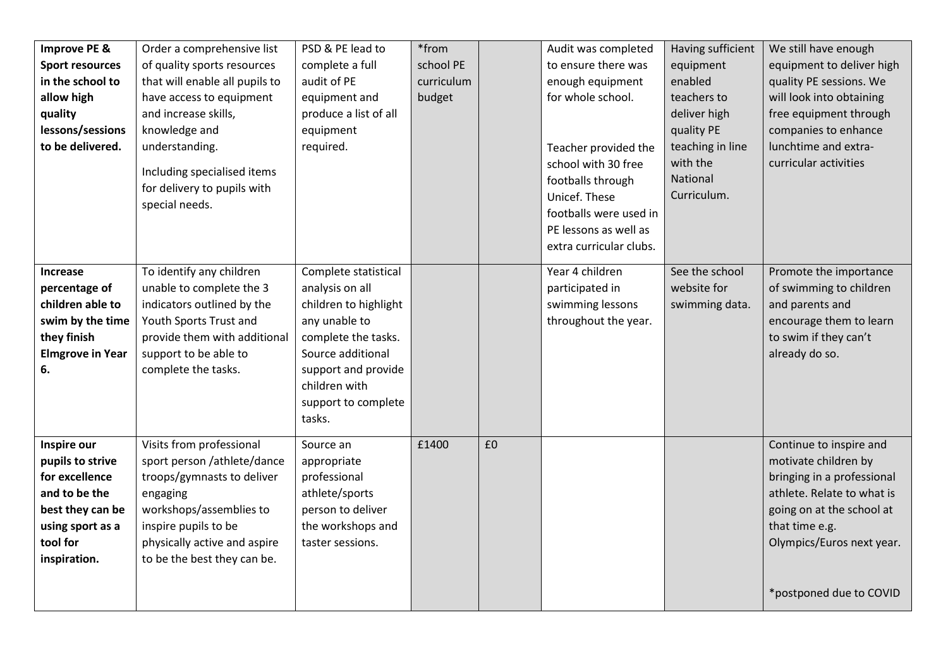| Improve PE &<br><b>Sport resources</b><br>in the school to<br>allow high<br>quality<br>lessons/sessions<br>to be delivered.            | Order a comprehensive list<br>of quality sports resources<br>that will enable all pupils to<br>have access to equipment<br>and increase skills,<br>knowledge and<br>understanding.<br>Including specialised items<br>for delivery to pupils with<br>special needs. | PSD & PE lead to<br>complete a full<br>audit of PE<br>equipment and<br>produce a list of all<br>equipment<br>required.                                                                                 | *from<br>school PE<br>curriculum<br>budget |    | Audit was completed<br>to ensure there was<br>enough equipment<br>for whole school.<br>Teacher provided the<br>school with 30 free<br>footballs through<br>Unicef. These<br>footballs were used in<br>PE lessons as well as<br>extra curricular clubs. | Having sufficient<br>equipment<br>enabled<br>teachers to<br>deliver high<br>quality PE<br>teaching in line<br>with the<br>National<br>Curriculum. | We still have enough<br>equipment to deliver high<br>quality PE sessions. We<br>will look into obtaining<br>free equipment through<br>companies to enhance<br>lunchtime and extra-<br>curricular activities        |
|----------------------------------------------------------------------------------------------------------------------------------------|--------------------------------------------------------------------------------------------------------------------------------------------------------------------------------------------------------------------------------------------------------------------|--------------------------------------------------------------------------------------------------------------------------------------------------------------------------------------------------------|--------------------------------------------|----|--------------------------------------------------------------------------------------------------------------------------------------------------------------------------------------------------------------------------------------------------------|---------------------------------------------------------------------------------------------------------------------------------------------------|--------------------------------------------------------------------------------------------------------------------------------------------------------------------------------------------------------------------|
| <b>Increase</b><br>percentage of<br>children able to<br>swim by the time<br>they finish<br><b>Elmgrove in Year</b><br>6.               | To identify any children<br>unable to complete the 3<br>indicators outlined by the<br>Youth Sports Trust and<br>provide them with additional<br>support to be able to<br>complete the tasks.                                                                       | Complete statistical<br>analysis on all<br>children to highlight<br>any unable to<br>complete the tasks.<br>Source additional<br>support and provide<br>children with<br>support to complete<br>tasks. |                                            |    | Year 4 children<br>participated in<br>swimming lessons<br>throughout the year.                                                                                                                                                                         | See the school<br>website for<br>swimming data.                                                                                                   | Promote the importance<br>of swimming to children<br>and parents and<br>encourage them to learn<br>to swim if they can't<br>already do so.                                                                         |
| Inspire our<br>pupils to strive<br>for excellence<br>and to be the<br>best they can be<br>using sport as a<br>tool for<br>inspiration. | Visits from professional<br>sport person /athlete/dance<br>troops/gymnasts to deliver<br>engaging<br>workshops/assemblies to<br>inspire pupils to be<br>physically active and aspire<br>to be the best they can be.                                                | Source an<br>appropriate<br>professional<br>athlete/sports<br>person to deliver<br>the workshops and<br>taster sessions.                                                                               | £1400                                      | £0 |                                                                                                                                                                                                                                                        |                                                                                                                                                   | Continue to inspire and<br>motivate children by<br>bringing in a professional<br>athlete. Relate to what is<br>going on at the school at<br>that time e.g.<br>Olympics/Euros next year.<br>*postponed due to COVID |